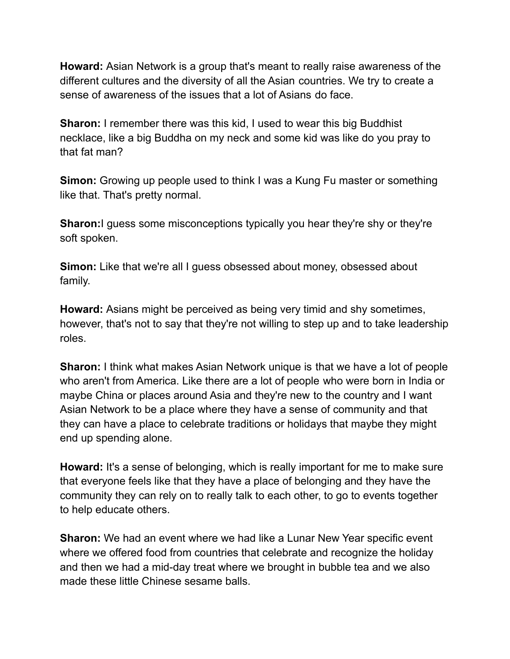**Howard:** Asian Network is a group that's meant to really raise awareness of the different cultures and the diversity of all the Asian countries. We try to create a sense of awareness of the issues that a lot of Asians do face.

**Sharon:** I remember there was this kid, I used to wear this big Buddhist necklace, like a big Buddha on my neck and some kid was like do you pray to that fat man?

**Simon:** Growing up people used to think I was a Kung Fu master or something like that. That's pretty normal.

**Sharon:**I guess some misconceptions typically you hear they're shy or they're soft spoken.

**Simon:** Like that we're all I quess obsessed about money, obsessed about family.

**Howard:** Asians might be perceived as being very timid and shy sometimes, however, that's not to say that they're not willing to step up and to take leadership roles.

**Sharon:** I think what makes Asian Network unique is that we have a lot of people who aren't from America. Like there are a lot of people who were born in India or maybe China or places around Asia and they're new to the country and I want Asian Network to be a place where they have a sense of community and that they can have a place to celebrate traditions or holidays that maybe they might end up spending alone.

**Howard:** It's a sense of belonging, which is really important for me to make sure that everyone feels like that they have a place of belonging and they have the community they can rely on to really talk to each other, to go to events together to help educate others.

**Sharon:** We had an event where we had like a Lunar New Year specific event where we offered food from countries that celebrate and recognize the holiday and then we had a mid-day treat where we brought in bubble tea and we also made these little Chinese sesame balls.